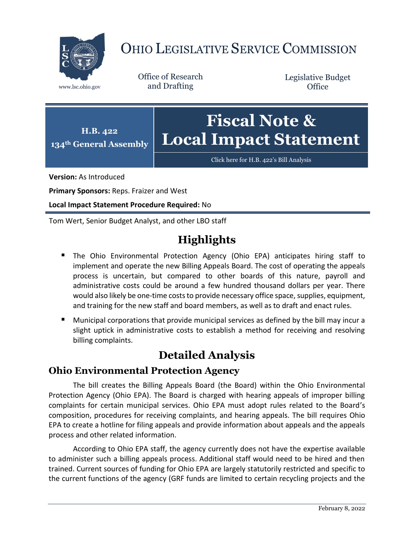

# OHIO LEGISLATIVE SERVICE COMMISSION

Office of Research www.lsc.ohio.gov and Drafting

Legislative Budget **Office** 



[Click here for H.B. 422](https://www.legislature.ohio.gov/legislation/legislation-documents?id=GA134-HB-422)'s Bill Analysis

**Version:** As Introduced

**Primary Sponsors:** Reps. Fraizer and West

**Local Impact Statement Procedure Required:** No

Tom Wert, Senior Budget Analyst, and other LBO staff

## **Highlights**

- The Ohio Environmental Protection Agency (Ohio EPA) anticipates hiring staff to implement and operate the new Billing Appeals Board. The cost of operating the appeals process is uncertain, but compared to other boards of this nature, payroll and administrative costs could be around a few hundred thousand dollars per year. There would also likely be one-time costs to provide necessary office space, supplies, equipment, and training for the new staff and board members, as well as to draft and enact rules.
- Municipal corporations that provide municipal services as defined by the bill may incur a slight uptick in administrative costs to establish a method for receiving and resolving billing complaints.

### **Detailed Analysis**

#### **Ohio Environmental Protection Agency**

The bill creates the Billing Appeals Board (the Board) within the Ohio Environmental Protection Agency (Ohio EPA). The Board is charged with hearing appeals of improper billing complaints for certain municipal services. Ohio EPA must adopt rules related to the Board's composition, procedures for receiving complaints, and hearing appeals. The bill requires Ohio EPA to create a hotline for filing appeals and provide information about appeals and the appeals process and other related information.

According to Ohio EPA staff, the agency currently does not have the expertise available to administer such a billing appeals process. Additional staff would need to be hired and then trained. Current sources of funding for Ohio EPA are largely statutorily restricted and specific to the current functions of the agency (GRF funds are limited to certain recycling projects and the